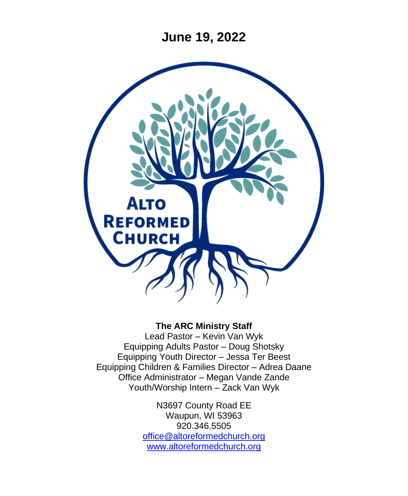**June 19, 2022**



#### **The ARC Ministry Staff**

Lead Pastor – Kevin Van Wyk Equipping Adults Pastor – Doug Shotsky Equipping Youth Director – Jessa Ter Beest Equipping Children & Families Director – Adrea Daane Office Administrator – Megan Vande Zande Youth/Worship Intern – Zack Van Wyk

> N3697 County Road EE Waupun, WI 53963 920.346.5505 [office@altoreformedchurch.org](mailto:office@altoreformedchurch.org) [www.altoreformedchurch.org](http://www.altoreformedchurch.org/)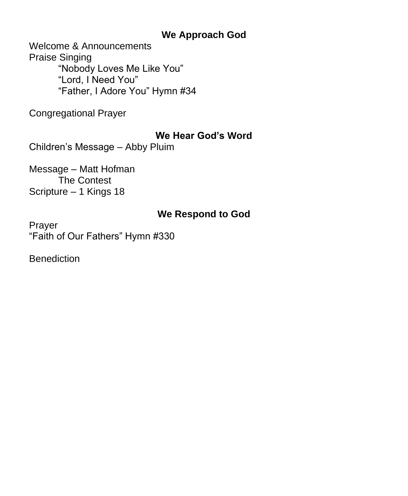#### **We Approach God**

Welcome & Announcements Praise Singing "Nobody Loves Me Like You" "Lord, I Need You" "Father, I Adore You" Hymn #34

Congregational Prayer

#### **We Hear God's Word**

Children's Message – Abby Pluim

Message – Matt Hofman The Contest Scripture – 1 Kings 18

# **We Respond to God**

Prayer "Faith of Our Fathers" Hymn #330

**Benediction**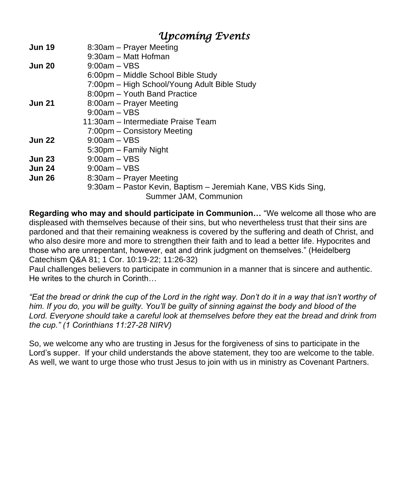### *Upcoming Events*

| <b>Jun 19</b> | 8:30am – Prayer Meeting                                        |
|---------------|----------------------------------------------------------------|
|               | 9:30am - Matt Hofman                                           |
| <b>Jun 20</b> | $9:00$ am – VBS                                                |
|               | 6:00pm – Middle School Bible Study                             |
|               | 7:00pm - High School/Young Adult Bible Study                   |
|               | 8:00pm - Youth Band Practice                                   |
| <b>Jun 21</b> | 8:00am - Prayer Meeting                                        |
|               | $9:00am - VBS$                                                 |
|               | 11:30am – Intermediate Praise Team                             |
|               | 7:00pm – Consistory Meeting                                    |
| <b>Jun 22</b> | $9:00am - VBS$                                                 |
|               | 5:30pm – Family Night                                          |
| <b>Jun 23</b> | $9:00am - VBS$                                                 |
| <b>Jun 24</b> | $9:00am - VBS$                                                 |
| <b>Jun 26</b> | 8:30am – Prayer Meeting                                        |
|               | 9:30am - Pastor Kevin, Baptism - Jeremiah Kane, VBS Kids Sing, |
|               | Summer JAM, Communion                                          |

**Regarding who may and should participate in Communion…** "We welcome all those who are displeased with themselves because of their sins, but who nevertheless trust that their sins are pardoned and that their remaining weakness is covered by the suffering and death of Christ, and who also desire more and more to strengthen their faith and to lead a better life. Hypocrites and those who are unrepentant, however, eat and drink judgment on themselves." (Heidelberg Catechism Q&A 81; 1 Cor. 10:19-22; 11:26-32)

Paul challenges believers to participate in communion in a manner that is sincere and authentic. He writes to the church in Corinth…

*"Eat the bread or drink the cup of the Lord in the right way. Don't do it in a way that isn't worthy of him. If you do, you will be guilty. You'll be guilty of sinning against the body and blood of the Lord. Everyone should take a careful look at themselves before they eat the bread and drink from the cup." (1 Corinthians 11:27-28 NIRV)*

So, we welcome any who are trusting in Jesus for the forgiveness of sins to participate in the Lord's supper. If your child understands the above statement, they too are welcome to the table. As well, we want to urge those who trust Jesus to join with us in ministry as Covenant Partners.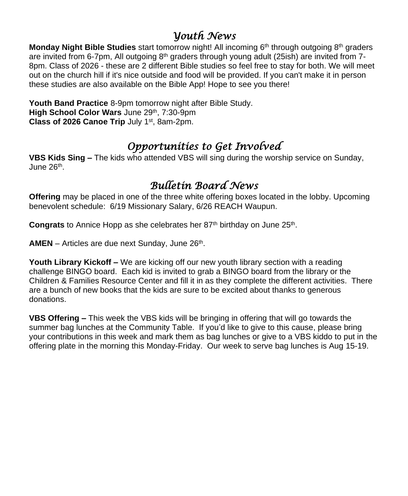### *Youth News*

**Monday Night Bible Studies** start tomorrow night! All incoming 6<sup>th</sup> through outgoing 8<sup>th</sup> graders are invited from 6-7pm, All outgoing  $8<sup>th</sup>$  graders through young adult (25ish) are invited from 7-8pm. Class of 2026 - these are 2 different Bible studies so feel free to stay for both. We will meet out on the church hill if it's nice outside and food will be provided. If you can't make it in person these studies are also available on the Bible App! Hope to see you there!

**Youth Band Practice** 8-9pm tomorrow night after Bible Study. **High School Color Wars** June 29th, 7:30-9pm **Class of 2026 Canoe Trip** July 1<sup>st</sup>, 8am-2pm.

# *Opportunities to Get Involved*

**VBS Kids Sing –** The kids who attended VBS will sing during the worship service on Sunday, June 26<sup>th</sup>.

# *Bulletin Board News*

**Offering** may be placed in one of the three white offering boxes located in the lobby. Upcoming benevolent schedule: 6/19 Missionary Salary, 6/26 REACH Waupun.

Congrats to Annice Hopp as she celebrates her 87<sup>th</sup> birthday on June 25<sup>th</sup>.

AMEN - Articles are due next Sunday, June 26<sup>th</sup>.

**Youth Library Kickoff –** We are kicking off our new youth library section with a reading challenge BINGO board. Each kid is invited to grab a BINGO board from the library or the Children & Families Resource Center and fill it in as they complete the different activities. There are a bunch of new books that the kids are sure to be excited about thanks to generous donations.

**VBS Offering –** This week the VBS kids will be bringing in offering that will go towards the summer bag lunches at the Community Table. If you'd like to give to this cause, please bring your contributions in this week and mark them as bag lunches or give to a VBS kiddo to put in the offering plate in the morning this Monday-Friday. Our week to serve bag lunches is Aug 15-19.